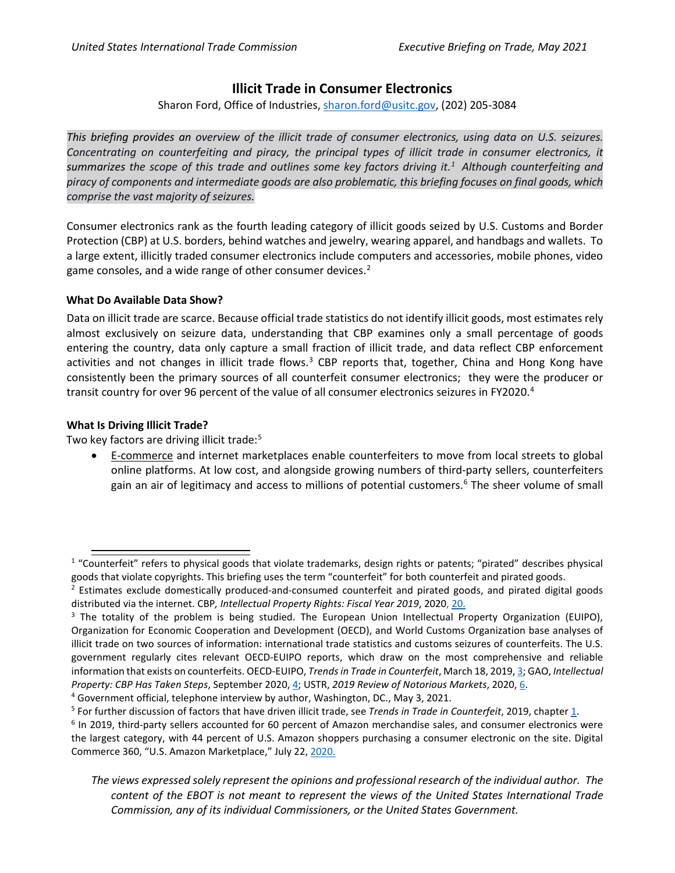## **Illicit Trade in Consumer Electronics**

Sharon Ford, Office of Industries, [sharon.ford@usitc.gov,](mailto:sharon.ford@usitc.gov) (202) 205-3084

*This briefing provides an overview of the illicit trade of consumer electronics, using data on U.S. seizures. Concentrating on counterfeiting and piracy, the principal types of illicit trade in consumer electronics, it summarizes the scope of this trade and outlines some key factors driving it. [1](#page-0-0) Although counterfeiting and piracy of components and intermediate goods are also problematic, this briefing focuses on final goods, which comprise the vast majority of seizures.* 

Consumer electronics rank as the fourth leading category of illicit goods seized by U.S. Customs and Border Protection (CBP) at U.S. borders, behind watches and jewelry, wearing apparel, and handbags and wallets. To a large extent, illicitly traded consumer electronics include computers and accessories, mobile phones, video game consoles, and a wide range of other consumer devices.<sup>[2](#page-0-1)</sup>

## **What Do Available Data Show?**

Data on illicit trade are scarce. Because official trade statistics do not identify illicit goods, most estimates rely almost exclusively on seizure data, understanding that CBP examines only a small percentage of goods entering the country, data only capture a small fraction of illicit trade, and data reflect CBP enforcement activities and not changes in illicit trade flows.<sup>[3](#page-0-2)</sup> CBP reports that, together, China and Hong Kong have consistently been the primary sources of all counterfeit consumer electronics; they were the producer or transit country for over 96 percent of the value of all consumer electronics seizures in FY2020.[4](#page-0-3)

## **What Is Driving Illicit Trade?**

Two key factors are driving illicit trade:<sup>[5](#page-0-4)</sup>

• E-commerce and internet marketplaces enable counterfeiters to move from local streets to global online platforms. At low cost, and alongside growing numbers of third-party sellers, counterfeiters gain an air of legitimacy and access to millions of potential customers.<sup>[6](#page-0-5)</sup> The sheer volume of small

<span id="page-0-0"></span> $1$  "Counterfeit" refers to physical goods that violate trademarks, design rights or patents; "pirated" describes physical goods that violate copyrights. This briefing uses the term "counterfeit" for both counterfeit and pirated goods.<br><sup>2</sup> Estimates exclude domestically produced-and-consumed counterfeit and pirated goods, and pirated digital g

<span id="page-0-1"></span>distributed via the internet. CBP*, Intellectual Property Rights: Fiscal Year 2019*, 2020, [20.](https://www.cbp.gov/document/report/fy-2019-ipr-seizure-statistics)

<span id="page-0-2"></span> $3$  The totality of the problem is being studied. The European Union Intellectual Property Organization (EUIPO), Organization for Economic Cooperation and Development (OECD), and World Customs Organization base analyses of illicit trade on two sources of information: international trade statistics and customs seizures of counterfeits. The U.S. government regularly cites relevant OECD-EUIPO reports, which draw on the most comprehensive and reliable information that exists on counterfeits. OECD-EUIPO, *Trends in Trade in Counterfeit*, March 18, 2019[, 3;](https://www.oecd-ilibrary.org/docserver/g2g9f533-en.pdf?expires=1620148981&id=id&accname=guest&checksum=BAABF4363E34E9E58CD4B085BC9BC27A) GAO, *Intellectual Property: CBP Has Taken Steps*, September 2020[, 4;](https://www.gao.gov/assets/gao-20-692.pdf) USTR, *2019 Review of Notorious Markets*, 2020[, 6.](https://ustr.gov/sites/default/files/2019_Review_of_Notorious_Markets_for_Counterfeiting_and_Piracy.pdf)

<span id="page-0-4"></span><span id="page-0-3"></span><sup>&</sup>lt;sup>4</sup> Government official, telephone interview by author, Washington, DC., May 3, 2021.<br><sup>5</sup> For further discussion of factors that have driven illicit trade, see *Trends in Trade in Counterfeit*, 2019, chapter [1.](https://www.oecd-ilibrary.org/docserver/g2g9f533-en.pdf?expires=1618864347&id=id&accname=guest&checksum=FB0C5A2AE5EA655EC0FF238063477BC3)

<span id="page-0-5"></span><sup>6</sup> In 2019, third-party sellers accounted for 60 percent of Amazon merchandise sales, and consumer electronics were the largest category, with 44 percent of U.S. Amazon shoppers purchasing a consumer electronic on the site. Digital Commerce 360, "U.S. Amazon Marketplace," July 22[, 2020.](https://www.digitalcommerce360.com/article/amazon-seller-news/)

*The views expressed solely represent the opinions and professional research of the individual author. The content of the EBOT is not meant to represent the views of the United States International Trade Commission, any of its individual Commissioners, or the United States Government.*